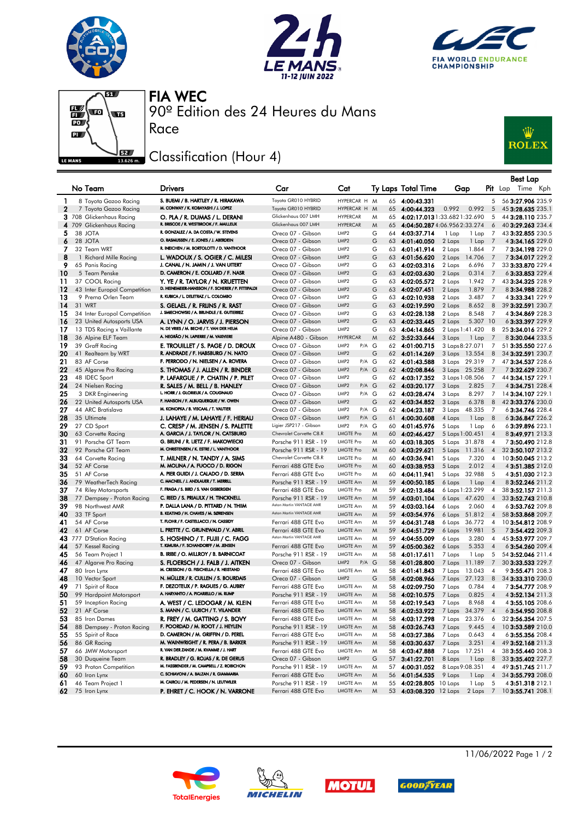







90º Edition des 24 Heures du Mans FIA WEC

## Classification (Hour 4)

Race



|              |                                        |                                                                                            |                                                 |                                                   |              |                                  |                                               |                                  | <b>Best Lap</b>                                                      |
|--------------|----------------------------------------|--------------------------------------------------------------------------------------------|-------------------------------------------------|---------------------------------------------------|--------------|----------------------------------|-----------------------------------------------|----------------------------------|----------------------------------------------------------------------|
|              | No Team                                | <b>Drivers</b>                                                                             | Car                                             | Cat                                               |              | Ty Laps Total Time               | Gap                                           |                                  | <b>Pit</b> Lap Time Kph                                              |
| 1            | 8 Toyota Gazoo Racing                  | S. BUEMI / B. HARTLEY / R. HIRAKAWA                                                        | Toyota GR010 HYBRID                             | HYPERCAR H M                                      |              | 65 4:00:43.331                   |                                               | 5                                | 56 3:27.906 235.9                                                    |
| $\mathbf{2}$ | 7 Toyota Gazoo Racing                  | M. CONWAY / K. KOBAYASHI / J. LOPEZ                                                        | Toyota GR010 HYBRID                             | HYPERCAR H M                                      |              | 65 4:00:44.323                   | 0.992<br>0.992                                | 5                                | 45 3:28.635 235.1                                                    |
|              | 3 708 Glickenhaus Racing               | O. PLA / R. DUMAS / L. DERANI<br>R. BRISCOE / R. WESTBROOK / F. MAILLEUX                   | Glickenhaus 007 LMH<br>Glickenhaus 007 LMH      | <b>HYPERCAR</b><br><b>HYPERCAR</b>                | M            |                                  | 65 4:02:17.0131:33.6821:32.690                | 5                                | 44 3:28.110 235.7                                                    |
| 5            | 4 709 Glickenhaus Racing<br>38 JOTA    | R. GONZALEZ / A. DA COSTA / W. STEVENS                                                     | Oreca 07 - Gibson                               | LMP <sub>2</sub>                                  | M<br>65<br>G | 64 4:03:37.714                   | 4:04:50.2874:06.9562:33.274<br>1 Lap<br>1 Lap | 6<br>7                           | 40 3:29.263 234.4<br>43 3:32.855 230.5                               |
| 6            | 28 JOTA                                | O. RASMUSSEN / E. JONES / J. ABERDEIN                                                      | Oreca 07 - Gibson                               | LMP <sub>2</sub>                                  | G            | 63 4:01:40.050                   | 2 Laps<br>1 Lap                               | $\overline{7}$                   | 4 3:34.165 229.0                                                     |
| 7            | 32 Team WRT                            | R. INEICHEN / M. BORTOLOTTI / D. VANTHOOR                                                  | Oreca 07 - Gibson                               | LMP <sub>2</sub>                                  | G            | 63 4:01:41.914                   | 2 Laps<br>1.864                               | - 7                              | 73:34.198 229.0                                                      |
| 8            | 1 Richard Mille Racing                 | L. WADOUX / S. OGIER / C. MILESI                                                           | Oreca 07 - Gibson                               | LMP <sub>2</sub>                                  | G            | 63 4:01:56.620                   | 2 Laps<br>14.706                              | $\overline{7}$                   | 73:34.017229.2                                                       |
| 9            | 65 Panis Racing                        | J. CANAL / N. JAMIN / J. VAN UITERT                                                        | Oreca 07 - Gibson                               | LMP <sub>2</sub>                                  | G            | 63 4:02:03.316                   | 2 Laps<br>6.696                               | 7                                | 33 3:33.870 229.4                                                    |
| 10           | 5 Team Penske                          | D. CAMERON / E. COLLARD / F. NASR                                                          | Oreca 07 - Gibson                               | LMP <sub>2</sub>                                  | G            | 63 4:02:03.630                   | 2 Laps<br>0.314                               | $\overline{7}$                   | 6 3:33.853 229.4                                                     |
| 11           | 37 COOL Racing                         | Y. YE / R. TAYLOR / N. KRUETTEN                                                            | Oreca 07 - Gibson                               | LMP <sub>2</sub>                                  | G            | 63 4:02:05.572                   | 2 Laps<br>1.942                               | 7                                | 43 3:34.325 228.9                                                    |
| 12           | 43 Inter Europol Competition           | D. HEINEMEIER-HANSSON / F. SCHERER / P. FITTIPALDI<br>R. KUBICA / L. DELETRAZ / L. COLOMBO | Oreca 07 - Gibson                               | LMP <sub>2</sub>                                  | G            | 63 4:02:07.451                   | 1.879<br>2 Laps                               | 7                                | 83:34.988 228.2                                                      |
| 13<br>14     | 9 Prema Orlen Team                     |                                                                                            | Oreca 07 - Gibson                               | LMP <sub>2</sub><br>LMP <sub>2</sub>              | G<br>G       | 63 4:02:10.938                   | 2 Laps<br>3.487                               | $\overline{7}$                   | 4 3:33.341 229.9                                                     |
| 15           | 31 WRT<br>34 Inter Europol Competition | S. GELAEL / R. FRIJNS / R. RAST<br>J. SMIECHOWSKI / A. BRUNDLE / E. GUTIERREZ              | Oreca 07 - Gibson<br>Oreca 07 - Gibson          | LMP <sub>2</sub>                                  | G            | 63 4:02:19.590<br>63 4:02:28.138 | 2 Laps<br>8.652<br>8.548<br>2 Laps            | $_{\rm 8}$<br>$\overline{7}$     | 39 3:32.591 230.7<br>4 3:34.869 228.3                                |
| 16           | 23 United Autosports USA               | A. LYNN / O. JARVIS / J. PIERSON                                                           | Oreca 07 - Gibson                               | LMP <sub>2</sub>                                  | G            | 63 4:02:33.445                   | 2 Laps<br>5.307 10                            |                                  | 6 3:33.397 229.9                                                     |
| 17           | 13 TDS Racing x Vaillante              | N. DE VRIES / M. BECHE / T. VAN DER HELM                                                   | Oreca 07 - Gibson                               | LMP <sub>2</sub>                                  | G            | 63 4:04:14.865                   | 2 Laps 1:41.420                               | 8                                | 25 3:34.016 229.2                                                    |
| 18           | 36 Alpine ELF Team                     | A. NEGRÃO / N. LAPIERRE / M. VAXIVIERE                                                     | Alpine A480 - Gibson                            | <b>HYPERCAR</b>                                   | M            | 62 3:52:33.644                   | 3 Laps<br>1 Lap                               | $\overline{7}$                   | 83:30.044 233.5                                                      |
| 19           | 39 Graff Racing                        | E. TROUILLET / S. PAGE / D. DROUX                                                          | Oreca 07 - Gibson                               | LMP <sub>2</sub><br>P/A G                         |              | 62 4:01:00.715                   | 3 Laps 8:27.071                               | 7                                | 51 3:35.550 227.6                                                    |
| 20           | 41 Realteam by WRT                     | R. ANDRADE / F. HABSBURG / N. NATO                                                         | Oreca 07 - Gibson                               | LMP <sub>2</sub>                                  | G            | 62 4:01:14.269                   | 3 Laps 13.554                                 | 8                                | 34 3:32.591 230.7                                                    |
| 21           | 83 AF Corse                            | F. PERRODO / N. NIELSEN / A. ROVERA                                                        | Oreca 07 - Gibson                               | LMP <sub>2</sub><br>P/A G                         |              | 62 4:01:43.588                   | 3 Laps 29.319                                 | 7                                | 47 3:34.537 228.6                                                    |
| 22           | 45 Algarve Pro Racing                  | S. THOMAS / J. ALLEN / R. BINDER                                                           | Oreca 07 - Gibson                               | LMP <sub>2</sub><br>$P/A$ $G$                     |              | 62 4:02:08.846                   | 3 Laps 25.258                                 | $\overline{7}$                   | 73:32.629 230.7                                                      |
| 23           | 48 IDEC Sport                          | P. LAFARGUE / P. CHATIN / P. PILET                                                         | Oreca 07 - Gibson                               | LMP <sub>2</sub><br>$P/A$ $G$<br>LMP <sub>2</sub> | G            | 62 4:03:17.352                   | 3 Laps 1:08.506                               | 7<br>7                           | 44 3:34.157 229.1                                                    |
| 24<br>25     | 24 Nielsen Racing<br>3 DKR Engineering | R. SALES / M. BELL / B. HANLEY<br>L. HORR / J. GLORIEUX / A. COUGNAUD                      | Oreca 07 - Gibson<br>Oreca 07 - Gibson          | P/A G<br>LMP <sub>2</sub>                         |              | 62 4:03:20.177<br>62 4:03:28.474 | 3 Laps<br>2.825<br>3 Laps<br>8.297            | $\overline{7}$                   | 4 3:34.751 228.4<br>14 3:34.107 229.1                                |
| 26           | 22 United Autosports USA               | P. HANSON / F. ALBUQUERQUE / W. OWEN                                                       | Oreca 07 - Gibson                               | LMP <sub>2</sub>                                  | G            | 62 4:03:34.852                   | 3 Laps<br>6.378                               | 8                                | 42 3:33.276 230.0                                                    |
| 27           | 44 ARC Bratislava                      | M. KONOPKA / B. VISCAAL / T. VAUTIER                                                       | Oreca 07 - Gibson                               | LMP <sub>2</sub><br>P/A G                         |              | 62 4:04:23.187                   | 48.335<br>3 Laps                              | $\overline{7}$                   | 63:34.746 228.4                                                      |
| 28           | 35 Ultimate                            | J. LAHAYE / M. LAHAYE / F. HERIAU                                                          | Oreca 07 - Gibson                               | LMP <sub>2</sub><br>$P/A$ $G$                     |              | 61 4:00:30.608                   | 4 Laps<br>1 Lap                               | $_{\rm 8}$                       | 63:36.847 226.2                                                      |
| 29           | 27 CD Sport                            | C. CRESP / M. JENSEN / S. PALETTE                                                          | Ligier JSP217 - Gibson                          | LMP <sub>2</sub><br>P/A G                         |              | 60 4:01:45.976                   | 5 Laps<br>1 Lap                               | 6                                | 63:39.896 223.1                                                      |
| 30           | 63 Corvette Racing                     | A. GARCIA / J. TAYLOR / N. CATSBURG                                                        | Chevrolet Corvette C8.R                         | <b>LMGTE Pro</b>                                  | M            | 60 4:02:46.427                   | 5 Laps 1:00.451                               | $\overline{4}$                   | 83:49.971 213.3                                                      |
| 31           | 91 Porsche GT Team                     | G. BRUNI / R. LIETZ / F. MAKOWIECKI<br>M. CHRISTENSEN / K. ESTRE / L. VANTHOOR             | Porsche 911 RSR - 19                            | <b>LMGTE Pro</b>                                  | M            | 60 4:03:18.305                   | 5 Laps 31.878                                 | $\overline{4}$                   | 73:50.490 212.8                                                      |
| 32           | 92 Porsche GT Team                     |                                                                                            | Porsche 911 RSR - 19<br>Chevrolet Corvette C8.R | <b>LMGTE Pro</b>                                  | M            | 60 4:03:29.621                   | 5 Laps 11.316                                 | $\overline{4}$                   | 32 3:50.107 213.2                                                    |
| 33<br>34     | 64 Corvette Racing<br>52 AF Corse      | T. MILNER / N. TANDY / A. SIMS<br>M. MOLINA / A. FUOCO / D. RIGON                          | Ferrari 488 GTE Evo                             | LMGTE Pro<br><b>LMGTE Pro</b>                     | M<br>M       | 60 4:03:36.941<br>60 4:03:38.953 | 5 Laps<br>7.320<br>5 Laps<br>2.012            | $\overline{4}$<br>$\overline{4}$ | 10 3:50.045 213.2<br>4 3:51.385 212.0                                |
| 35           | 51 AF Corse                            | A. PIER GUIDI / J. CALADO / D. SERRA                                                       | Ferrari 488 GTE Evo                             | LMGTE Pro                                         | M            | 60 4:04:11.941                   | 5 Laps<br>32.988                              | -5                               | 4 3:51.030 212.3                                                     |
| 36           | 79 WeatherTech Racing                  | C. MACNEIL / J. ANDLAUER / T. MERRILL                                                      | Porsche 911 RSR - 19                            | <b>LMGTE Am</b>                                   | M            | 59 4:00:50.185                   | 6 Laps<br>1 Lap                               | $\overline{4}$                   | 8 3:52.246 211.2                                                     |
| 37           | 74 Riley Motorsports                   | F. FRAGA / S. BIRD / S. VAN GISBERGEN                                                      | Ferrari 488 GTE Evo                             | LMGTE Pro                                         | M            | 59 4:02:13.484                   | 6 Laps 1:23.299                               | 4                                | 38 3:52.157 211.3                                                    |
| 38           | 77 Dempsey - Proton Racing             | C. RIED / S. PRIAULX / H. TINCKNELL                                                        | Porsche 911 RSR - 19                            | <b>LMGTE Am</b>                                   | M            | 59 4:03:01.104                   | 6 Laps 47.620                                 | $\overline{4}$                   | 33 3:52.743 210.8                                                    |
| 39           | 98 Northwest AMR                       | P. DALLA LANA / D. PITTARD / N. THIM                                                       | Aston Martin VANTAGE AMR                        | LMGTE Am                                          | M            | 59 4:03:03.164                   | 6 Laps<br>2.060                               | $\overline{4}$                   | 63:53.762 209.8                                                      |
| 40           | 33 TF Sport                            | B. KEATING / H. CHAVES / M. SØRENSEN                                                       | Aston Martin VANTAGE AMR                        | <b>LMGTE Am</b>                                   | M            | 59 4:03:54.976                   | 6 Laps 51.812                                 | $\overline{4}$                   | 58 3:53.868 209.7                                                    |
| 41           | 54 AF Corse                            | T. FLOHR / F. CASTELLACCI / N. CASSIDY<br>L. PRETTE / C. GRUNEWALD / V. ABRIL              | Ferrari 488 GTE Evo                             | LMGTE Am                                          | M<br>59      | 4:04:31.748                      | 6 Laps<br>36.772                              | $\overline{4}$                   | 10 3:54.812 208.9                                                    |
| 42           | 61 AF Corse<br>43 777 D'Station Racing | S. HOSHINO / T. FUJII / C. FAGG                                                            | Ferrari 488 GTE Evo<br>Aston Martin VANTAGE AMR | LMGTE Am<br>LMGTE Am                              | M<br>M       | 59 4:04:51.729<br>59 4:04:55.009 | 6 Laps<br>19.981<br>3.280<br>6 Laps           | 5<br>$\overline{4}$              | 73:54.422 209.3<br>45 3:53.977 209.7                                 |
| 44           | 57 Kessel Racing                       | T. KIMURA / F. SCHANDORFF / M. JENSEN                                                      | Ferrari 488 GTE Evo                             | <b>LMGTE Am</b>                                   | M            | 59 4:05:00.362                   | 5.353<br>6 Laps                               | $\overline{4}$                   | 6 3:54.260 209.4                                                     |
| 45           | 56 Team Project 1                      | B. IRIBE / O. MILLROY / B. BARNICOAT                                                       | Porsche 911 RSR - 19                            | LMGTE Am                                          | M            | 58 4:01:17.611                   | 7 Laps<br>1 Lap                               | 5                                | 54 3:52.046 211.4                                                    |
| 46           | 47 Algarve Pro Racing                  | S. FLOERSCH / J. FALB / J. AITKEN                                                          | Oreca 07 - Gibson                               | LMP <sub>2</sub><br>$P/A$ $G$                     | 58           | 4:01:28.800                      | 7 Laps<br>11.189                              | 7                                | 30 3:33.533 229.7                                                    |
| 47           | 80 Iron Lynx                           | M. CRESSONI / G. FISICHELLA / R. HEISTAND                                                  | Ferrari 488 GTE Evo                             | LMGTE Am                                          | M            | 58 4:01:41.843                   | 7 Laps<br>13.043                              | $\overline{4}$                   | 9 3:55.471 208.3                                                     |
| 48           | 10 Vector Sport                        | N. MÜLLER / R. CULLEN / S. BOURDAIS                                                        | Oreca 07 - Gibson                               | LMP <sub>2</sub>                                  | G            | 58 4:02:08.966                   | 7 Laps 27.123                                 | 8                                | 34 3:33.310 230.0                                                    |
| 49           | 71 Spirit of Race                      | F. DEZOTEUX / P. RAGUES / G. AUBRY                                                         | Ferrari 488 GTE Evo                             | LMGTE Am                                          | M<br>58      | 4:02:09.750                      | 7 Laps<br>0.784                               | $\overline{4}$                   | 73:54.777 208.9                                                      |
| 50           | 99 Hardpoint Motorsport                | A. HARYANTO / A. PICARIELLO / M. RUMP<br>A. WEST / C. LEDOGAR / M. KLEIN                   | Porsche 911 RSR - 19                            | <b>LMGTE Am</b>                                   | M            | 58 4:02:10.575                   | $0.825$ 4<br>7 Laps                           |                                  | 43:52.134 211.3<br>43:55.105 208.6                                   |
| 51<br>52     | 59 Inception Racing<br>21 AF Corse     | S. MANN / C. ULRICH / T. VILANDER                                                          | Ferrari 488 GTE Evo<br>Ferrari 488 GTE Evo      | <b>LMGTE Am</b><br>LMGTE Am                       | M<br>M       | 58 4:02:19.543<br>58 4:02:53.922 | 8.968 4<br>7 Laps<br>7 Laps 34.379            |                                  | 63:54.950 208.8                                                      |
| 53           | 85 Iron Dames                          | R. FREY / M. GATTING / S. BOVY                                                             | Ferrari 488 GTE Evo                             | LMGTE Am                                          | M            | 58 4:03:17.298                   | 7 Laps 23.376                                 | $\overline{4}$<br>6              | 32 3:56.354 207.5                                                    |
| 54           | 88 Dempsey - Proton Racing             | F. POORDAD / M. ROOT / J. HEYLEN                                                           | Porsche 911 RSR - 19                            | LMGTE Am                                          | 58<br>M      | 4:03:26.743                      | 7 Laps<br>9.445                               | $\overline{4}$                   | 10 3:53.589 210.0                                                    |
| 55           | 55 Spirit of Race                      | D. CAMERON / M. GRIFFIN / D. PEREL                                                         | Ferrari 488 GTE Evo                             | LMGTE Am                                          | M            | 58 4:03:27.386                   | 7 Laps<br>0.643                               | $\overline{4}$                   | 63:55.356 208.4                                                      |
| 56           | 86 GR Racing                           | M. WAINWRIGHT / R. PERA / B. BARKER                                                        | Porsche 911 RSR - 19                            | LMGTE Am                                          | M            | 58 4:03:30.637                   | 7 Laps<br>3.251                               | $\overline{4}$                   | 49 3:52.168 211.3                                                    |
| 57           | 66 JMW Motorsport                      | R. VAN DER ZANDE / M. KVAMME / J. HART                                                     | Ferrari 488 GTE Evo                             | LMGTE Am                                          | M<br>58      | 4:03:47.888                      | 7 Laps 17.251                                 | $\overline{4}$                   | 38 3:55.440 208.3                                                    |
| 58           | 30 Duqueine Team                       | R. BRADLEY / G. ROJAS / R. DE GERUS                                                        | Oreca 07 - Gibson                               | LMP <sub>2</sub>                                  | G            | 57 3:41:22.701                   | 8 Laps<br>1 Lap                               | 8                                | 33 3:35.402 227.7                                                    |
| 59           | 93 Proton Competition                  | M. FASSBENDER / M. CAMPBELL / Z. ROBICHON                                                  | Porsche 911 RSR - 19                            | LMGTE Am                                          | M            | 57 4:00:31.052                   | 8 Laps 9:08.351                               | $\overline{4}$                   | 49 3:51.745 211.7                                                    |
| 60           | 60 Iron Lynx                           | C. SCHIAVONI / A. BALZAN / R. GIAMMARIA<br>M. CAIROLI / M. PEDERSEN / N. LEUTWILER         | Ferrari 488 GTE Evo                             | <b>LMGTE Am</b>                                   | M            | 56 4:01:54.535                   | 9 Laps<br>$1$ Lap $4$                         |                                  | 34 3:55.793 208.0                                                    |
| 61<br>62     | 46 Team Project 1<br>75 Iron Lynx      | P. EHRET / C. HOOK / N. VARRONE                                                            | Porsche 911 RSR - 19<br>Ferrari 488 GTE Evo     | LMGTE Am<br>LMGTE Am                              | M<br>M       | 55 4:02:28.805 10 Laps           | 1 Lap                                         | - 5                              | 43:51.318 212.1<br>53 4:03:08.320 12 Laps 2 Laps 7 10 3:55.741 208.1 |
|              |                                        |                                                                                            |                                                 |                                                   |              |                                  |                                               |                                  |                                                                      |









11/06/2022 Page 1 / 2